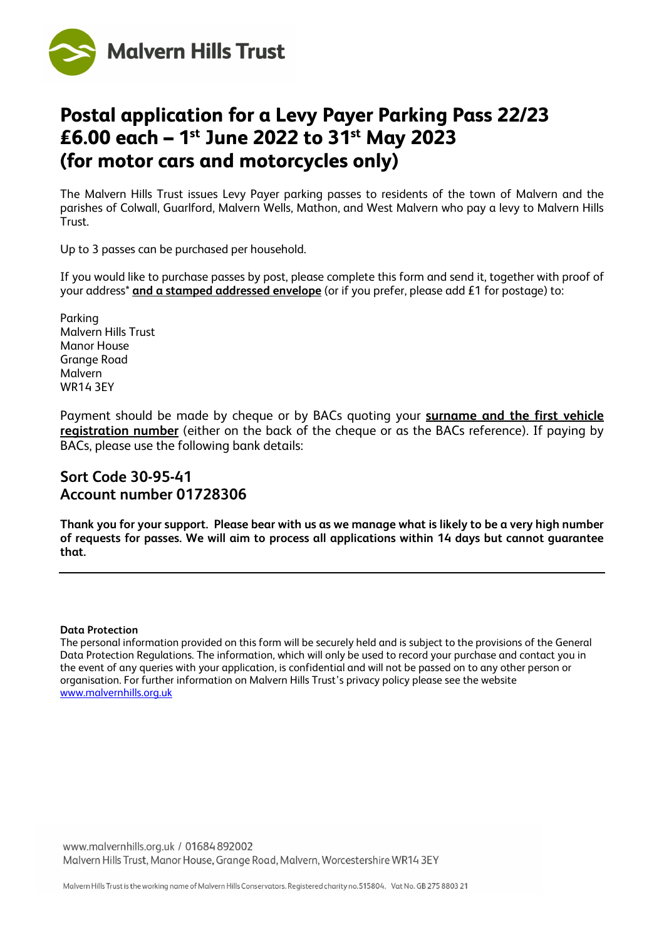

## **Postal application for a Levy Payer Parking Pass 22/23 £6.00 each – 1st June 2022 to 31st May 2023 (for motor cars and motorcycles only)**

The Malvern Hills Trust issues Levy Payer parking passes to residents of the town of Malvern and the parishes of Colwall, Guarlford, Malvern Wells, Mathon, and West Malvern who pay a levy to Malvern Hills Trust.

Up to 3 passes can be purchased per household.

If you would like to purchase passes by post, please complete this form and send it, together with proof of your address\* **and a stamped addressed envelope** (or if you prefer, please add £1 for postage) to:

Parking Malvern Hills Trust Manor House Grange Road Malvern WR14 3EY

Payment should be made by cheque or by BACs quoting your **surname and the first vehicle registration number** (either on the back of the cheque or as the BACs reference). If paying by BACs, please use the following bank details:

## **Sort Code 30-95-41 Account number 01728306**

**Thank you for your support. Please bear with us as we manage what is likely to be a very high number of requests for passes. We will aim to process all applications within 14 days but cannot guarantee that.**

## **Data Protection**

The personal information provided on this form will be securely held and is subject to the provisions of the General Data Protection Regulations. The information, which will only be used to record your purchase and contact you in the event of any queries with your application, is confidential and will not be passed on to any other person or organisation. For further information on Malvern Hills Trust's privacy policy please see the website [www.malvernhills.org.uk](http://www.malvernhills.org.uk/)

www.malvernhills.org.uk / 01684 892002 Malvern Hills Trust, Manor House, Grange Road, Malvern, Worcestershire WR14 3EY